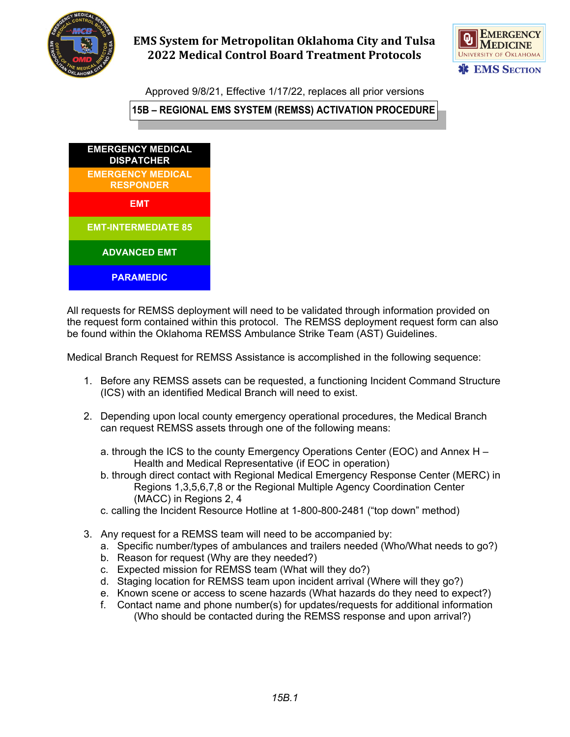

## **EMS System for Metropolitan Oklahoma City and Tulsa 2022 Medical Control Board Treatment Protocols**



Approved 9/8/21, Effective 1/17/22, replaces all prior versions

**15B – REGIONAL EMS SYSTEM (REMSS) ACTIVATION PROCEDURE**



All requests for REMSS deployment will need to be validated through information provided on the request form contained within this protocol. The REMSS deployment request form can also be found within the Oklahoma REMSS Ambulance Strike Team (AST) Guidelines.

Medical Branch Request for REMSS Assistance is accomplished in the following sequence:

- 1. Before any REMSS assets can be requested, a functioning Incident Command Structure (ICS) with an identified Medical Branch will need to exist.
- 2. Depending upon local county emergency operational procedures, the Medical Branch can request REMSS assets through one of the following means:
	- a. through the ICS to the county Emergency Operations Center (EOC) and Annex H Health and Medical Representative (if EOC in operation)
	- b. through direct contact with Regional Medical Emergency Response Center (MERC) in Regions 1,3,5,6,7,8 or the Regional Multiple Agency Coordination Center (MACC) in Regions 2, 4
	- c. calling the Incident Resource Hotline at 1-800-800-2481 ("top down" method)
- 3. Any request for a REMSS team will need to be accompanied by:
	- a. Specific number/types of ambulances and trailers needed (Who/What needs to go?)
	- b. Reason for request (Why are they needed?)
	- c. Expected mission for REMSS team (What will they do?)
	- d. Staging location for REMSS team upon incident arrival (Where will they go?)
	- e. Known scene or access to scene hazards (What hazards do they need to expect?)
	- f. Contact name and phone number(s) for updates/requests for additional information (Who should be contacted during the REMSS response and upon arrival?)